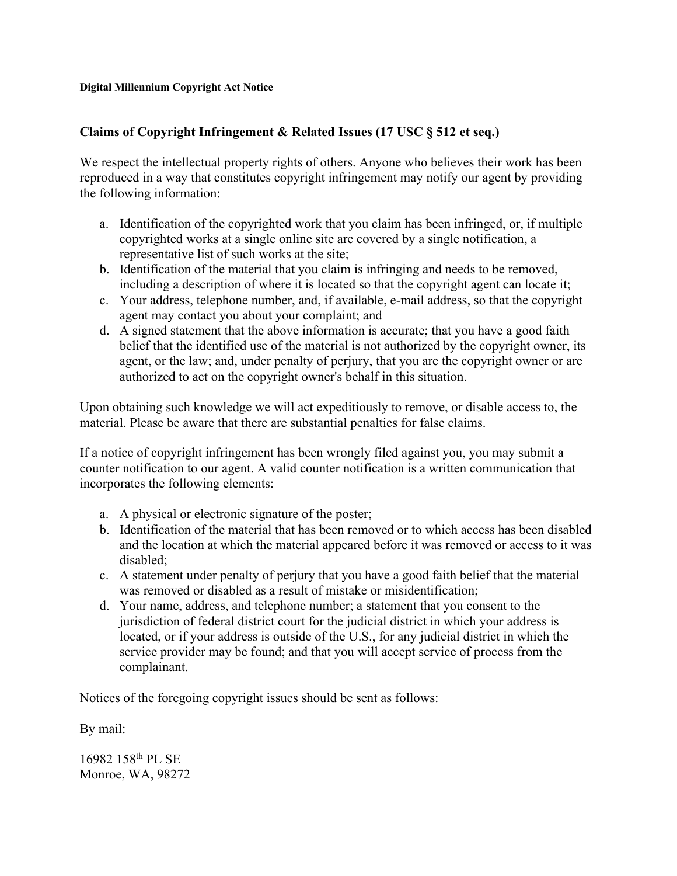## **Digital Millennium Copyright Act Notice**

## **Claims of Copyright Infringement & Related Issues (17 USC § 512 et seq.)**

We respect the intellectual property rights of others. Anyone who believes their work has been reproduced in a way that constitutes copyright infringement may notify our agent by providing the following information:

- a. Identification of the copyrighted work that you claim has been infringed, or, if multiple copyrighted works at a single online site are covered by a single notification, a representative list of such works at the site;
- b. Identification of the material that you claim is infringing and needs to be removed, including a description of where it is located so that the copyright agent can locate it;
- c. Your address, telephone number, and, if available, e-mail address, so that the copyright agent may contact you about your complaint; and
- d. A signed statement that the above information is accurate; that you have a good faith belief that the identified use of the material is not authorized by the copyright owner, its agent, or the law; and, under penalty of perjury, that you are the copyright owner or are authorized to act on the copyright owner's behalf in this situation.

Upon obtaining such knowledge we will act expeditiously to remove, or disable access to, the material. Please be aware that there are substantial penalties for false claims.

If a notice of copyright infringement has been wrongly filed against you, you may submit a counter notification to our agent. A valid counter notification is a written communication that incorporates the following elements:

- a. A physical or electronic signature of the poster;
- b. Identification of the material that has been removed or to which access has been disabled and the location at which the material appeared before it was removed or access to it was disabled;
- c. A statement under penalty of perjury that you have a good faith belief that the material was removed or disabled as a result of mistake or misidentification;
- d. Your name, address, and telephone number; a statement that you consent to the jurisdiction of federal district court for the judicial district in which your address is located, or if your address is outside of the U.S., for any judicial district in which the service provider may be found; and that you will accept service of process from the complainant.

Notices of the foregoing copyright issues should be sent as follows:

By mail:

16982 158th PL SE Monroe, WA, 98272